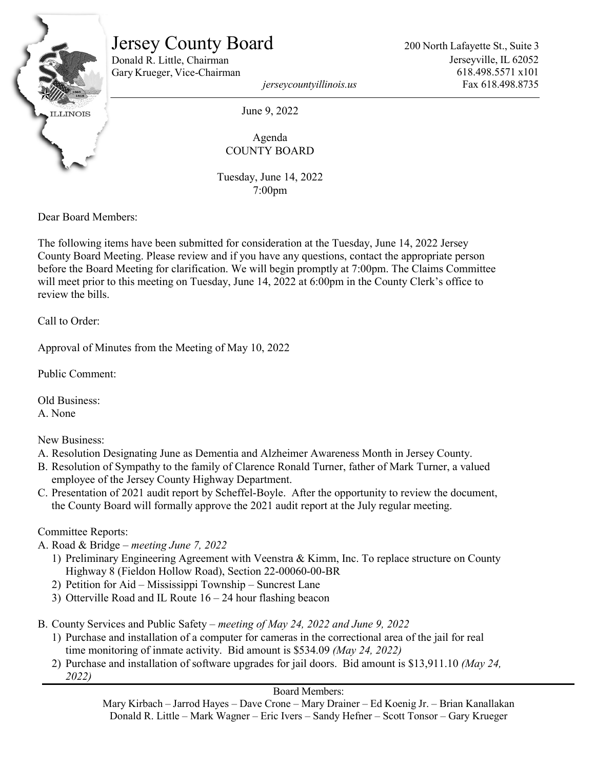

# Jersey County Board

Donald R. Little, Chairman Gary Krueger, Vice-Chairman 200 North Lafayette St., Suite 3 Jerseyville, IL 62052 618.498.5571 x101 Fax 618.498.8735

*jerseycountyillinois.us*

June 9, 2022

Agenda COUNTY BOARD

Tuesday, June 14, 2022 7:00pm

Dear Board Members:

The following items have been submitted for consideration at the Tuesday, June 14, 2022 Jersey County Board Meeting. Please review and if you have any questions, contact the appropriate person before the Board Meeting for clarification. We will begin promptly at 7:00pm. The Claims Committee will meet prior to this meeting on Tuesday, June 14, 2022 at 6:00pm in the County Clerk's office to review the bills.

Call to Order:

Approval of Minutes from the Meeting of May 10, 2022

Public Comment:

Old Business: A. None

New Business:

- A. Resolution Designating June as Dementia and Alzheimer Awareness Month in Jersey County.
- B. Resolution of Sympathy to the family of Clarence Ronald Turner, father of Mark Turner, a valued employee of the Jersey County Highway Department.
- C. Presentation of 2021 audit report by Scheffel-Boyle. After the opportunity to review the document, the County Board will formally approve the 2021 audit report at the July regular meeting.

Committee Reports:

A. Road & Bridge – *meeting June 7, 2022*

- 1) Preliminary Engineering Agreement with Veenstra & Kimm, Inc. To replace structure on County Highway 8 (Fieldon Hollow Road), Section 22-00060-00-BR
- 2) Petition for Aid Mississippi Township Suncrest Lane
- 3) Otterville Road and IL Route 16 24 hour flashing beacon
- B. County Services and Public Safety *meeting of May 24, 2022 and June 9, 2022*
	- 1) Purchase and installation of a computer for cameras in the correctional area of the jail for real time monitoring of inmate activity. Bid amount is \$534.09 *(May 24, 2022)*
	- 2) Purchase and installation of software upgrades for jail doors. Bid amount is \$13,911.10 *(May 24, 2022)*

### Board Members:

Mary Kirbach – Jarrod Hayes – Dave Crone – Mary Drainer – Ed Koenig Jr. – Brian Kanallakan Donald R. Little – Mark Wagner – Eric Ivers – Sandy Hefner – Scott Tonsor – Gary Krueger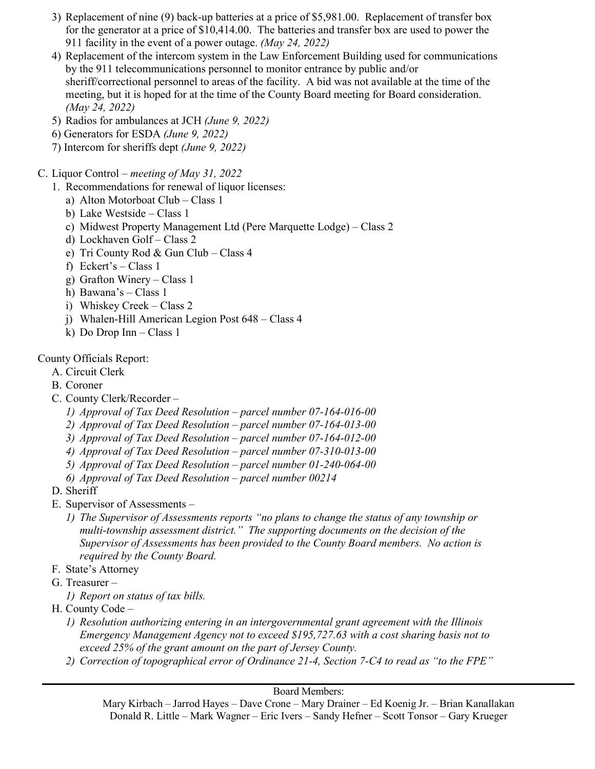- 3) Replacement of nine (9) back-up batteries at a price of \$5,981.00. Replacement of transfer box for the generator at a price of \$10,414.00. The batteries and transfer box are used to power the 911 facility in the event of a power outage. *(May 24, 2022)*
- 4) Replacement of the intercom system in the Law Enforcement Building used for communications by the 911 telecommunications personnel to monitor entrance by public and/or sheriff/correctional personnel to areas of the facility. A bid was not available at the time of the meeting, but it is hoped for at the time of the County Board meeting for Board consideration. *(May 24, 2022)*
- 5) Radios for ambulances at JCH *(June 9, 2022)*
- 6) Generators for ESDA *(June 9, 2022)*
- 7) Intercom for sheriffs dept *(June 9, 2022)*
- C. Liquor Control *meeting of May 31, 2022*
	- 1. Recommendations for renewal of liquor licenses:
		- a) Alton Motorboat Club Class 1
		- b) Lake Westside Class 1
		- c) Midwest Property Management Ltd (Pere Marquette Lodge) Class 2
		- d) Lockhaven Golf Class 2
		- e) Tri County Rod & Gun Club Class 4
		- f) Eckert's Class 1
		- g) Grafton Winery Class 1
		- h) Bawana's Class 1
		- i) Whiskey Creek Class 2
		- j) Whalen-Hill American Legion Post 648 Class 4
		- k) Do Drop Inn Class 1

## County Officials Report:

- A. Circuit Clerk
- B. Coroner
- C. County Clerk/Recorder
	- *1) Approval of Tax Deed Resolution – parcel number 07-164-016-00*
	- *2) Approval of Tax Deed Resolution – parcel number 07-164-013-00*
	- *3) Approval of Tax Deed Resolution – parcel number 07-164-012-00*
	- *4) Approval of Tax Deed Resolution – parcel number 07-310-013-00*
	- *5) Approval of Tax Deed Resolution – parcel number 01-240-064-00*
	- *6) Approval of Tax Deed Resolution – parcel number 00214*
- D. Sheriff
- E. Supervisor of Assessments
	- *1) The Supervisor of Assessments reports "no plans to change the status of any township or multi-township assessment district." The supporting documents on the decision of the Supervisor of Assessments has been provided to the County Board members. No action is required by the County Board.*
- F. State's Attorney
- G. Treasurer
	- *1) Report on status of tax bills.*
- H. County Code
	- *1) Resolution authorizing entering in an intergovernmental grant agreement with the Illinois Emergency Management Agency not to exceed \$195,727.63 with a cost sharing basis not to exceed 25% of the grant amount on the part of Jersey County.*
	- *2) Correction of topographical error of Ordinance 21-4, Section 7-C4 to read as "to the FPE"*

### Board Members:

Mary Kirbach – Jarrod Hayes – Dave Crone – Mary Drainer – Ed Koenig Jr. – Brian Kanallakan Donald R. Little – Mark Wagner – Eric Ivers – Sandy Hefner – Scott Tonsor – Gary Krueger